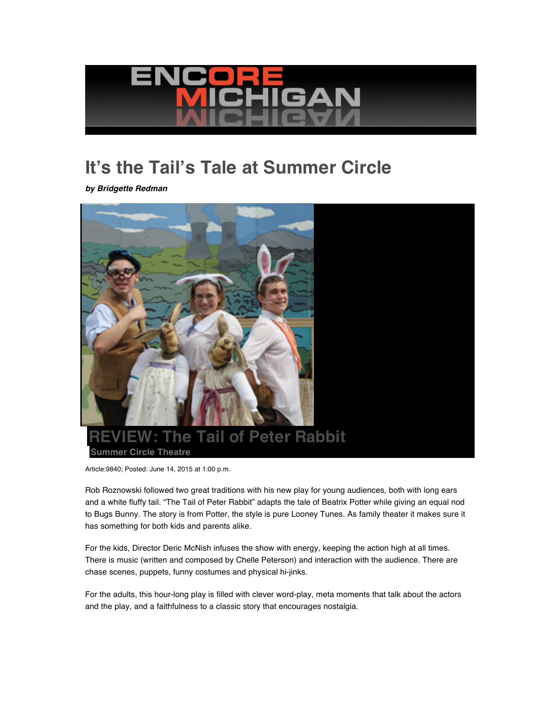

## **It's the Tail's Tale at Summer Circle**

*by Bridgette Redman*



Article:9840; Posted: June 14, 2015 at 1:00 p.m.

Rob Roznowski followed two great traditions with his new play for young audiences, both with long ears and a white fluffy tail. "The Tail of Peter Rabbit" adapts the tale of Beatrix Potter while giving an equal nod to Bugs Bunny. The story is from Potter, the style is pure Looney Tunes. As family theater it makes sure it has something for both kids and parents alike.

For the kids, Director Deric McNish infuses the show with energy, keeping the action high at all times. There is music (written and composed by Chelle Peterson) and interaction with the audience. There are chase scenes, puppets, funny costumes and physical hi-jinks.

For the adults, this hour-long play is filled with clever word-play, meta moments that talk about the actors and the play, and a faithfulness to a classic story that encourages nostalgia.